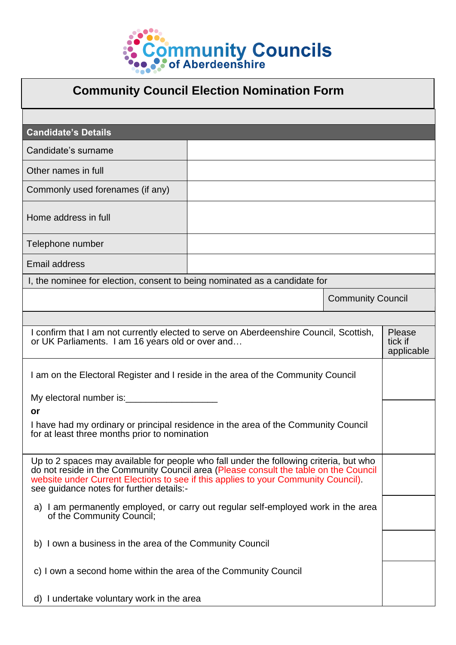

| <b>Community Council Election Nomination Form</b>                                                                                                                                                                                                                                                                |  |                                        |  |
|------------------------------------------------------------------------------------------------------------------------------------------------------------------------------------------------------------------------------------------------------------------------------------------------------------------|--|----------------------------------------|--|
|                                                                                                                                                                                                                                                                                                                  |  |                                        |  |
| <b>Candidate's Details</b>                                                                                                                                                                                                                                                                                       |  |                                        |  |
| Candidate's surname                                                                                                                                                                                                                                                                                              |  |                                        |  |
| Other names in full                                                                                                                                                                                                                                                                                              |  |                                        |  |
| Commonly used forenames (if any)                                                                                                                                                                                                                                                                                 |  |                                        |  |
| Home address in full                                                                                                                                                                                                                                                                                             |  |                                        |  |
| Telephone number                                                                                                                                                                                                                                                                                                 |  |                                        |  |
| <b>Email address</b>                                                                                                                                                                                                                                                                                             |  |                                        |  |
| I, the nominee for election, consent to being nominated as a candidate for                                                                                                                                                                                                                                       |  |                                        |  |
|                                                                                                                                                                                                                                                                                                                  |  | <b>Community Council</b>               |  |
|                                                                                                                                                                                                                                                                                                                  |  |                                        |  |
| I confirm that I am not currently elected to serve on Aberdeenshire Council, Scottish,<br>or UK Parliaments. I am 16 years old or over and                                                                                                                                                                       |  | <b>Please</b><br>tick if<br>applicable |  |
| I am on the Electoral Register and I reside in the area of the Community Council                                                                                                                                                                                                                                 |  |                                        |  |
| My electoral number is: Network and the set of the set of the set of the set of the set of the set of the set o                                                                                                                                                                                                  |  |                                        |  |
| or                                                                                                                                                                                                                                                                                                               |  |                                        |  |
| I have had my ordinary or principal residence in the area of the Community Council<br>for at least three months prior to nomination                                                                                                                                                                              |  |                                        |  |
| Up to 2 spaces may available for people who fall under the following criteria, but who<br>do not reside in the Community Council area (Please consult the table on the Council<br>website under Current Elections to see if this applies to your Community Council).<br>see guidance notes for further details:- |  |                                        |  |
| a) I am permanently employed, or carry out regular self-employed work in the area<br>of the Community Council;                                                                                                                                                                                                   |  |                                        |  |
| b) I own a business in the area of the Community Council                                                                                                                                                                                                                                                         |  |                                        |  |
| c) I own a second home within the area of the Community Council                                                                                                                                                                                                                                                  |  |                                        |  |
| d) I undertake voluntary work in the area                                                                                                                                                                                                                                                                        |  |                                        |  |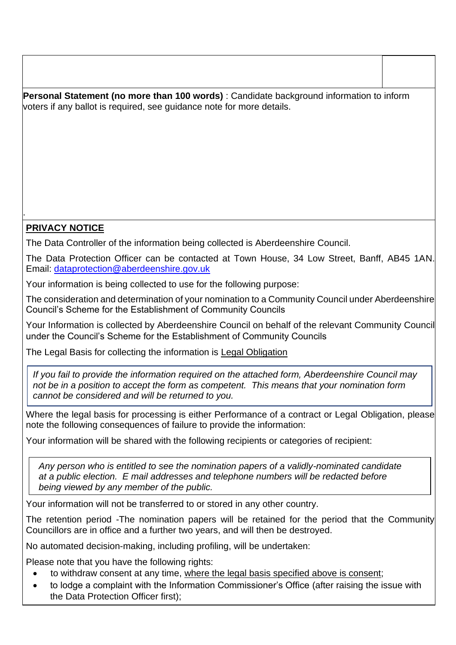**Personal Statement (no more than 100 words)** : Candidate background information to inform voters if any ballot is required, see guidance note for more details.

## **PRIVACY NOTICE**

.

The Data Controller of the information being collected is Aberdeenshire Council.

The Data Protection Officer can be contacted at Town House, 34 Low Street, Banff, AB45 1AN. Email: [dataprotection@aberdeenshire.gov.uk](mailto:dataprotection@aberdeenshire.gov.uk)

Your information is being collected to use for the following purpose:

The consideration and determination of your nomination to a Community Council under Aberdeenshire Council's Scheme for the Establishment of Community Councils

Your Information is collected by Aberdeenshire Council on behalf of the relevant Community Council under the Council's Scheme for the Establishment of Community Councils

The Legal Basis for collecting the information is Legal Obligation

*If you fail to provide the information required on the attached form, Aberdeenshire Council may not be in a position to accept the form as competent. This means that your nomination form cannot be considered and will be returned to you.*

Where the legal basis for processing is either Performance of a contract or Legal Obligation, please note the following consequences of failure to provide the information:

Your information will be shared with the following recipients or categories of recipient:

*Any person who is entitled to see the nomination papers of a validly-nominated candidate at a public election. E mail addresses and telephone numbers will be redacted before being viewed by any member of the public.*

Your information will not be transferred to or stored in any other country.

The retention period -The nomination papers will be retained for the period that the Community Councillors are in office and a further two years, and will then be destroyed.

No automated decision-making, including profiling, will be undertaken:

Please note that you have the following rights:

- to withdraw consent at any time, where the legal basis specified above is consent;
- to lodge a complaint with the Information Commissioner's Office (after raising the issue with the Data Protection Officer first);